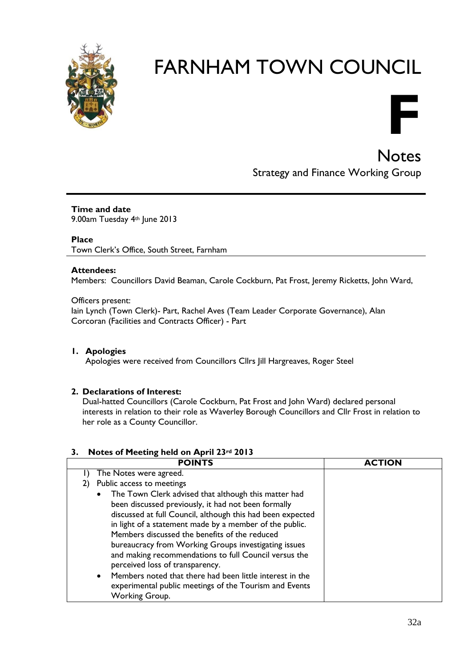

# FARNHAM TOWN COUNCIL



**Notes** Strategy and Finance Working Group

**Time and date** 9.00am Tuesday 4th June 2013

**Place**

Town Clerk's Office, South Street, Farnham

#### **Attendees:**

Members: Councillors David Beaman, Carole Cockburn, Pat Frost, Jeremy Ricketts, John Ward,

Officers present:

Iain Lynch (Town Clerk)- Part, Rachel Aves (Team Leader Corporate Governance), Alan Corcoran (Facilities and Contracts Officer) - Part

#### **1. Apologies**

Apologies were received from Councillors Cllrs Jill Hargreaves, Roger Steel

#### **2. Declarations of Interest:**

Dual-hatted Councillors (Carole Cockburn, Pat Frost and John Ward) declared personal interests in relation to their role as Waverley Borough Councillors and Cllr Frost in relation to her role as a County Councillor.

#### **3. Notes of Meeting held on April 23rd 2013**

| <b>POINTS</b>                                                                                                                                                                                                                                                                                                                                                                                                                                                                                                                                                                                               | <b>ACTION</b> |
|-------------------------------------------------------------------------------------------------------------------------------------------------------------------------------------------------------------------------------------------------------------------------------------------------------------------------------------------------------------------------------------------------------------------------------------------------------------------------------------------------------------------------------------------------------------------------------------------------------------|---------------|
| The Notes were agreed.                                                                                                                                                                                                                                                                                                                                                                                                                                                                                                                                                                                      |               |
| Public access to meetings<br>2)                                                                                                                                                                                                                                                                                                                                                                                                                                                                                                                                                                             |               |
| The Town Clerk advised that although this matter had<br>$\bullet$<br>been discussed previously, it had not been formally<br>discussed at full Council, although this had been expected<br>in light of a statement made by a member of the public.<br>Members discussed the benefits of the reduced<br>bureaucracy from Working Groups investigating issues<br>and making recommendations to full Council versus the<br>perceived loss of transparency.<br>Members noted that there had been little interest in the<br>$\bullet$<br>experimental public meetings of the Tourism and Events<br>Working Group. |               |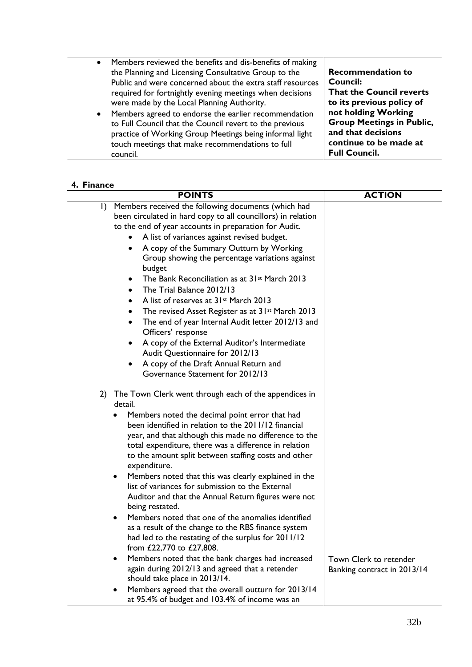| $\bullet$<br>$\bullet$ | Members reviewed the benefits and dis-benefits of making<br>the Planning and Licensing Consultative Group to the<br>Public and were concerned about the extra staff resources<br>required for fortnightly evening meetings when decisions<br>were made by the Local Planning Authority.<br>Members agreed to endorse the earlier recommendation<br>to Full Council that the Council revert to the previous<br>practice of Working Group Meetings being informal light<br>touch meetings that make recommendations to full | <b>Recommendation to</b><br>Council:<br>That the Council reverts<br>to its previous policy of<br>not holding Working<br><b>Group Meetings in Public,</b><br>and that decisions<br>continue to be made at<br><b>Full Council.</b> |
|------------------------|---------------------------------------------------------------------------------------------------------------------------------------------------------------------------------------------------------------------------------------------------------------------------------------------------------------------------------------------------------------------------------------------------------------------------------------------------------------------------------------------------------------------------|----------------------------------------------------------------------------------------------------------------------------------------------------------------------------------------------------------------------------------|
|                        | council.                                                                                                                                                                                                                                                                                                                                                                                                                                                                                                                  |                                                                                                                                                                                                                                  |

#### **4. Finance**

| <b>POINTS</b>                                                                                                                                                                                                                                                                                                                                                                                                                                                                                                                                                                                                                                                                                                                                                                                                                                                                                                                                                                                                                              | <b>ACTION</b>                                         |
|--------------------------------------------------------------------------------------------------------------------------------------------------------------------------------------------------------------------------------------------------------------------------------------------------------------------------------------------------------------------------------------------------------------------------------------------------------------------------------------------------------------------------------------------------------------------------------------------------------------------------------------------------------------------------------------------------------------------------------------------------------------------------------------------------------------------------------------------------------------------------------------------------------------------------------------------------------------------------------------------------------------------------------------------|-------------------------------------------------------|
| Members received the following documents (which had<br>$\mathbf{I}$<br>been circulated in hard copy to all councillors) in relation<br>to the end of year accounts in preparation for Audit.<br>A list of variances against revised budget.<br>A copy of the Summary Outturn by Working<br>$\bullet$<br>Group showing the percentage variations against<br>budget<br>The Bank Reconciliation as at 31 <sup>st</sup> March 2013<br>$\bullet$<br>The Trial Balance 2012/13<br>$\bullet$<br>A list of reserves at 31 <sup>st</sup> March 2013<br>$\bullet$<br>The revised Asset Register as at 31 <sup>st</sup> March 2013<br>The end of year Internal Audit letter 2012/13 and<br>Officers' response<br>A copy of the External Auditor's Intermediate<br>Audit Questionnaire for 2012/13<br>A copy of the Draft Annual Return and<br>Governance Statement for 2012/13                                                                                                                                                                        |                                                       |
| 2) The Town Clerk went through each of the appendices in<br>detail.<br>Members noted the decimal point error that had<br>been identified in relation to the 2011/12 financial<br>year, and that although this made no difference to the<br>total expenditure, there was a difference in relation<br>to the amount split between staffing costs and other<br>expenditure.<br>Members noted that this was clearly explained in the<br>$\bullet$<br>list of variances for submission to the External<br>Auditor and that the Annual Return figures were not<br>being restated.<br>Members noted that one of the anomalies identified<br>as a result of the change to the RBS finance system<br>had led to the restating of the surplus for 2011/12<br>from £22,770 to £27,808.<br>Members noted that the bank charges had increased<br>$\bullet$<br>again during 2012/13 and agreed that a retender<br>should take place in 2013/14.<br>Members agreed that the overall outturn for 2013/14<br>at 95.4% of budget and 103.4% of income was an | Town Clerk to retender<br>Banking contract in 2013/14 |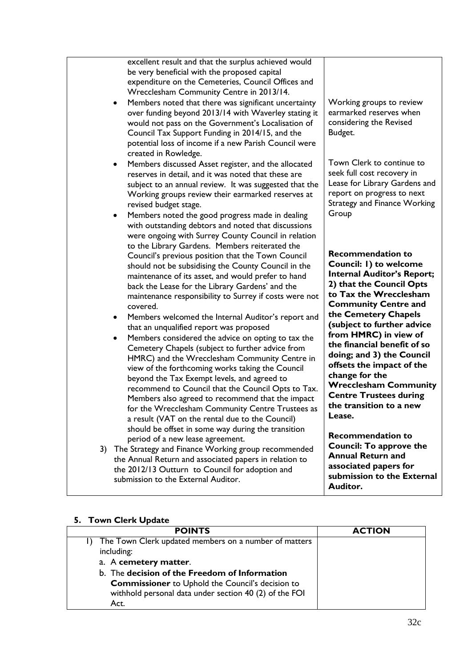| excellent result and that the surplus achieved would<br>be very beneficial with the proposed capital<br>expenditure on the Cemeteries, Council Offices and<br>Wrecclesham Community Centre in 2013/14.<br>Members noted that there was significant uncertainty<br>$\bullet$<br>over funding beyond 2013/14 with Waverley stating it<br>would not pass on the Government's Localisation of<br>Council Tax Support Funding in 2014/15, and the<br>potential loss of income if a new Parish Council were                                                                                                                                                                                                                                                                                                                                                                                                                               | Working groups to review<br>earmarked reserves when<br>considering the Revised<br>Budget.                                                                                                                                                                                                                                                                                                                                                                                    |
|-------------------------------------------------------------------------------------------------------------------------------------------------------------------------------------------------------------------------------------------------------------------------------------------------------------------------------------------------------------------------------------------------------------------------------------------------------------------------------------------------------------------------------------------------------------------------------------------------------------------------------------------------------------------------------------------------------------------------------------------------------------------------------------------------------------------------------------------------------------------------------------------------------------------------------------|------------------------------------------------------------------------------------------------------------------------------------------------------------------------------------------------------------------------------------------------------------------------------------------------------------------------------------------------------------------------------------------------------------------------------------------------------------------------------|
| created in Rowledge.<br>Members discussed Asset register, and the allocated<br>$\bullet$<br>reserves in detail, and it was noted that these are<br>subject to an annual review. It was suggested that the<br>Working groups review their earmarked reserves at<br>revised budget stage.<br>Members noted the good progress made in dealing<br>$\bullet$<br>with outstanding debtors and noted that discussions<br>were ongoing with Surrey County Council in relation                                                                                                                                                                                                                                                                                                                                                                                                                                                               | Town Clerk to continue to<br>seek full cost recovery in<br>Lease for Library Gardens and<br>report on progress to next<br><b>Strategy and Finance Working</b><br>Group                                                                                                                                                                                                                                                                                                       |
| to the Library Gardens. Members reiterated the<br>Council's previous position that the Town Council<br>should not be subsidising the County Council in the<br>maintenance of its asset, and would prefer to hand<br>back the Lease for the Library Gardens' and the<br>maintenance responsibility to Surrey if costs were not<br>covered.<br>Members welcomed the Internal Auditor's report and<br>٠<br>that an unqualified report was proposed<br>Members considered the advice on opting to tax the<br>٠<br>Cemetery Chapels (subject to further advice from<br>HMRC) and the Wrecclesham Community Centre in<br>view of the forthcoming works taking the Council<br>beyond the Tax Exempt levels, and agreed to<br>recommend to Council that the Council Opts to Tax.<br>Members also agreed to recommend that the impact<br>for the Wrecclesham Community Centre Trustees as<br>a result (VAT on the rental due to the Council) | <b>Recommendation to</b><br>Council: I) to welcome<br><b>Internal Auditor's Report;</b><br>2) that the Council Opts<br>to Tax the Wrecclesham<br><b>Community Centre and</b><br>the Cemetery Chapels<br>(subject to further advice<br>from HMRC) in view of<br>the financial benefit of so<br>doing; and 3) the Council<br>offsets the impact of the<br>change for the<br><b>Wrecclesham Community</b><br><b>Centre Trustees during</b><br>the transition to a new<br>Lease. |
| should be offset in some way during the transition<br>period of a new lease agreement.<br>3) The Strategy and Finance Working group recommended<br>the Annual Return and associated papers in relation to<br>the 2012/13 Outturn to Council for adoption and<br>submission to the External Auditor.                                                                                                                                                                                                                                                                                                                                                                                                                                                                                                                                                                                                                                 | <b>Recommendation to</b><br><b>Council: To approve the</b><br><b>Annual Return and</b><br>associated papers for<br>submission to the External<br>Auditor.                                                                                                                                                                                                                                                                                                                    |

## **5. Town Clerk Update**

| <b>POINTS</b>                                           | <b>ACTION</b> |
|---------------------------------------------------------|---------------|
| The Town Clerk updated members on a number of matters   |               |
| including:                                              |               |
| a. A cemetery matter.                                   |               |
| b. The decision of the Freedom of Information           |               |
| <b>Commissioner</b> to Uphold the Council's decision to |               |
| withhold personal data under section 40 (2) of the FOI  |               |
| Act.                                                    |               |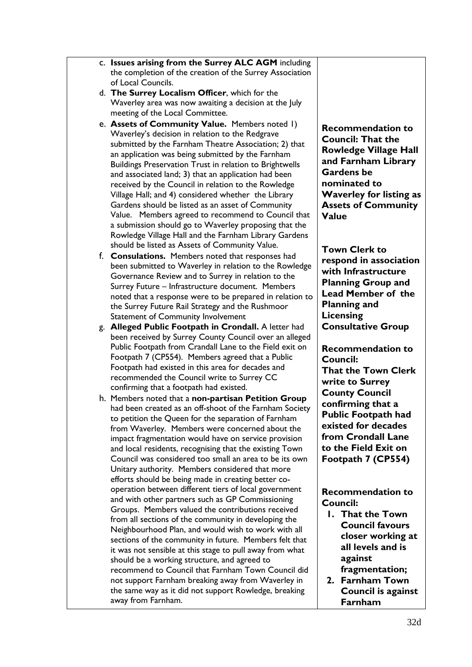| c. Issues arising from the Surrey ALC AGM including      |
|----------------------------------------------------------|
| the completion of the creation of the Surrey Association |
| of Local Councils.                                       |

- d. **The Surrey Localism Officer**, which for the Waverley area was now awaiting a decision at the July meeting of the Local Committee.
- e. **Assets of Community Value.** Members noted 1) Waverley's decision in relation to the Redgrave submitted by the Farnham Theatre Association; 2) that an application was being submitted by the Farnham Buildings Preservation Trust in relation to Brightwells and associated land; 3) that an application had been received by the Council in relation to the Rowledge Village Hall; and 4) considered whether the Library Gardens should be listed as an asset of Community Value. Members agreed to recommend to Council that a submission should go to Waverley proposing that the Rowledge Village Hall and the Farnham Library Gardens should be listed as Assets of Community Value.
- f. **Consulations.** Members noted that responses had been submitted to Waverley in relation to the Rowledge Governance Review and to Surrey in relation to the Surrey Future – Infrastructure document. Members noted that a response were to be prepared in relation to the Surrey Future Rail Strategy and the Rushmoor Statement of Community Involvement
- g. **Alleged Public Footpath in Crondall.** A letter had been received by Surrey County Council over an alleged Public Footpath from Crandall Lane to the Field exit on Footpath 7 (CP554). Members agreed that a Public Footpath had existed in this area for decades and recommended the Council write to Surrey CC confirming that a footpath had existed.
- h. Members noted that a **non-partisan Petition Group** had been created as an off-shoot of the Farnham Society to petition the Queen for the separation of Farnham from Waverley. Members were concerned about the impact fragmentation would have on service provision and local residents, recognising that the existing Town Council was considered too small an area to be its own Unitary authority. Members considered that more efforts should be being made in creating better cooperation between different tiers of local government and with other partners such as GP Commissioning Groups. Members valued the contributions received from all sections of the community in developing the Neighbourhood Plan, and would wish to work with all sections of the community in future. Members felt that it was not sensible at this stage to pull away from what should be a working structure, and agreed to recommend to Council that Farnham Town Council did not support Farnham breaking away from Waverley in the same way as it did not support Rowledge, breaking away from Farnham.

**Recommendation to Council: That the Rowledge Village Hall and Farnham Library Gardens be nominated to Waverley for listing as Assets of Community Value**

**Town Clerk to respond in association with Infrastructure Planning Group and Lead Member of the Planning and Licensing Consultative Group**

**Recommendation to Council: That the Town Clerk write to Surrey County Council confirming that a Public Footpath had existed for decades from Crondall Lane to the Field Exit on Footpath 7 (CP554)**

**Recommendation to Council:**

- **1. That the Town Council favours closer working at all levels and is against**
- **fragmentation; 2. Farnham Town Council is against Farnham**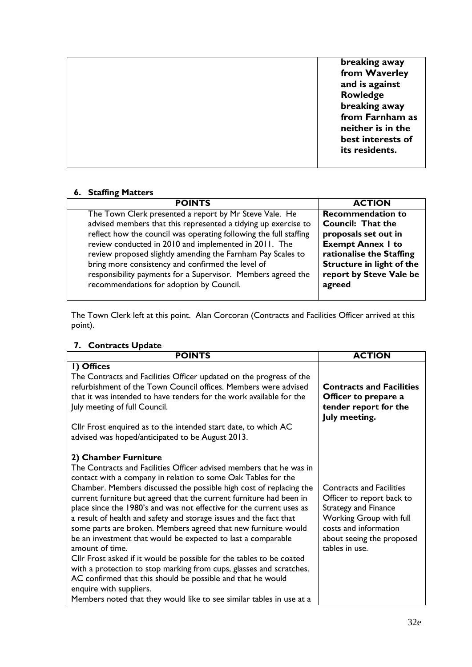| breaking away     |
|-------------------|
|                   |
| from Waverley     |
| and is against    |
| Rowledge          |
| breaking away     |
| from Farnham as   |
| neither is in the |
|                   |
| best interests of |
| its residents.    |
|                   |
|                   |

## **6. Staffing Matters**

| <b>POINTS</b>                                                     | <b>ACTION</b>             |
|-------------------------------------------------------------------|---------------------------|
| The Town Clerk presented a report by Mr Steve Vale. He            | <b>Recommendation to</b>  |
| advised members that this represented a tidying up exercise to    | <b>Council: That the</b>  |
| reflect how the council was operating following the full staffing | proposals set out in      |
| review conducted in 2010 and implemented in 2011. The             | <b>Exempt Annex I to</b>  |
| review proposed slightly amending the Farnham Pay Scales to       | rationalise the Staffing  |
| bring more consistency and confirmed the level of                 | Structure in light of the |
| responsibility payments for a Supervisor. Members agreed the      | report by Steve Vale be   |
| recommendations for adoption by Council.                          | agreed                    |

The Town Clerk left at this point. Alan Corcoran (Contracts and Facilities Officer arrived at this point).

| 7. Contracts Update                                                                                                                                                                                                                                                                                                                                                                                                                                                                                                                                                                                                                                                                                                                                                                                                                                                                                                           |                                                                                                                                                                                                |
|-------------------------------------------------------------------------------------------------------------------------------------------------------------------------------------------------------------------------------------------------------------------------------------------------------------------------------------------------------------------------------------------------------------------------------------------------------------------------------------------------------------------------------------------------------------------------------------------------------------------------------------------------------------------------------------------------------------------------------------------------------------------------------------------------------------------------------------------------------------------------------------------------------------------------------|------------------------------------------------------------------------------------------------------------------------------------------------------------------------------------------------|
| <b>POINTS</b>                                                                                                                                                                                                                                                                                                                                                                                                                                                                                                                                                                                                                                                                                                                                                                                                                                                                                                                 | <b>ACTION</b>                                                                                                                                                                                  |
| I) Offices<br>The Contracts and Facilities Officer updated on the progress of the<br>refurbishment of the Town Council offices. Members were advised<br>that it was intended to have tenders for the work available for the<br>July meeting of full Council.                                                                                                                                                                                                                                                                                                                                                                                                                                                                                                                                                                                                                                                                  | <b>Contracts and Facilities</b><br>Officer to prepare a<br>tender report for the<br>July meeting.                                                                                              |
| Cllr Frost enquired as to the intended start date, to which AC<br>advised was hoped/anticipated to be August 2013.                                                                                                                                                                                                                                                                                                                                                                                                                                                                                                                                                                                                                                                                                                                                                                                                            |                                                                                                                                                                                                |
| 2) Chamber Furniture<br>The Contracts and Facilities Officer advised members that he was in<br>contact with a company in relation to some Oak Tables for the<br>Chamber. Members discussed the possible high cost of replacing the<br>current furniture but agreed that the current furniture had been in<br>place since the 1980's and was not effective for the current uses as<br>a result of health and safety and storage issues and the fact that<br>some parts are broken. Members agreed that new furniture would<br>be an investment that would be expected to last a comparable<br>amount of time.<br>Cllr Frost asked if it would be possible for the tables to be coated<br>with a protection to stop marking from cups, glasses and scratches.<br>AC confirmed that this should be possible and that he would<br>enquire with suppliers.<br>Members noted that they would like to see similar tables in use at a | <b>Contracts and Facilities</b><br>Officer to report back to<br><b>Strategy and Finance</b><br>Working Group with full<br>costs and information<br>about seeing the proposed<br>tables in use. |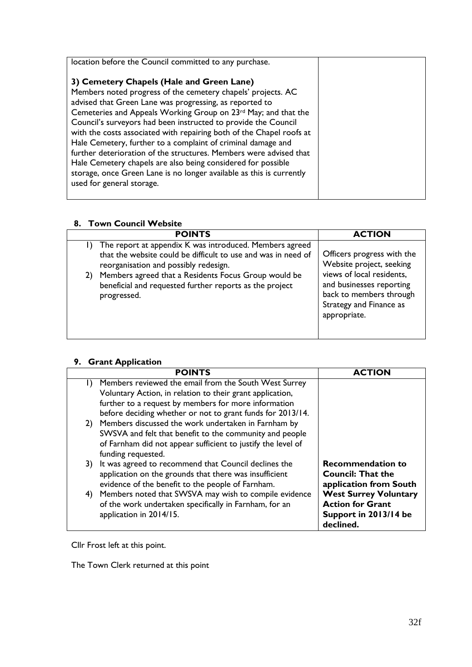| location before the Council committed to any purchase.                                                                                                                                                                                                                                                                                                                                                                                                                                                                                                                                                                                                                                      |  |
|---------------------------------------------------------------------------------------------------------------------------------------------------------------------------------------------------------------------------------------------------------------------------------------------------------------------------------------------------------------------------------------------------------------------------------------------------------------------------------------------------------------------------------------------------------------------------------------------------------------------------------------------------------------------------------------------|--|
| 3) Cemetery Chapels (Hale and Green Lane)<br>Members noted progress of the cemetery chapels' projects. AC<br>advised that Green Lane was progressing, as reported to<br>Cemeteries and Appeals Working Group on 23rd May; and that the<br>Council's surveyors had been instructed to provide the Council<br>with the costs associated with repairing both of the Chapel roofs at<br>Hale Cemetery, further to a complaint of criminal damage and<br>further deterioration of the structures. Members were advised that<br>Hale Cemetery chapels are also being considered for possible<br>storage, once Green Lane is no longer available as this is currently<br>used for general storage. |  |

## **8. Town Council Website**

| <b>POINTS</b>                                                                                                                                                        | <b>ACTION</b>                                                                                                               |
|----------------------------------------------------------------------------------------------------------------------------------------------------------------------|-----------------------------------------------------------------------------------------------------------------------------|
| 1) The report at appendix K was introduced. Members agreed<br>that the website could be difficult to use and was in need of<br>reorganisation and possibly redesign. | Officers progress with the<br>Website project, seeking                                                                      |
| Members agreed that a Residents Focus Group would be<br>2)<br>beneficial and requested further reports as the project<br>progressed.                                 | views of local residents,<br>and businesses reporting<br>back to members through<br>Strategy and Finance as<br>appropriate. |

## **9. Grant Application**

|    | <b>POINTS</b>                                                                                                                                                                                                                            | <b>ACTION</b>                                                                                 |
|----|------------------------------------------------------------------------------------------------------------------------------------------------------------------------------------------------------------------------------------------|-----------------------------------------------------------------------------------------------|
|    | Members reviewed the email from the South West Surrey<br>Voluntary Action, in relation to their grant application,<br>further to a request by members for more information<br>before deciding whether or not to grant funds for 2013/14. |                                                                                               |
|    | 2) Members discussed the work undertaken in Farnham by<br>SWSVA and felt that benefit to the community and people<br>of Farnham did not appear sufficient to justify the level of<br>funding requested.                                  |                                                                                               |
| 3) | It was agreed to recommend that Council declines the<br>application on the grounds that there was insufficient<br>evidence of the benefit to the people of Farnham.                                                                      | <b>Recommendation to</b><br><b>Council: That the</b><br>application from South                |
| 4) | Members noted that SWSVA may wish to compile evidence<br>of the work undertaken specifically in Farnham, for an<br>application in 2014/15.                                                                                               | <b>West Surrey Voluntary</b><br><b>Action for Grant</b><br>Support in 2013/14 be<br>declined. |

Cllr Frost left at this point.

The Town Clerk returned at this point